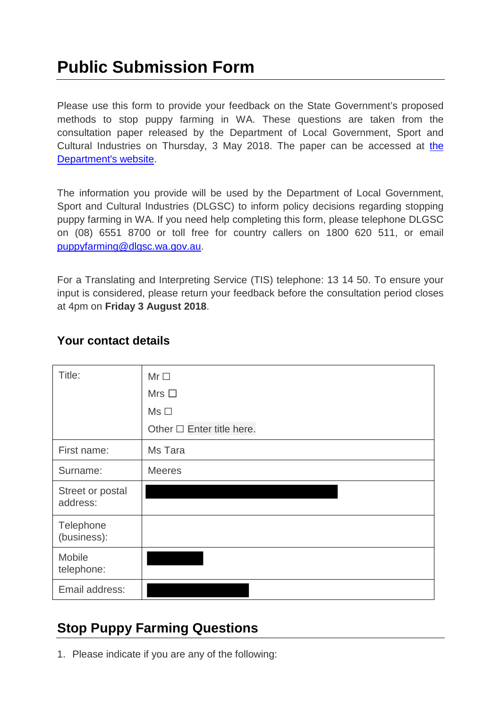# **Public Submission Form**

Please use this form to provide your feedback on the State Government's proposed methods to stop puppy farming in WA. These questions are taken from the consultation paper released by the Department of Local Government, Sport and Cultural Industries on Thursday, 3 May 2018. The paper can be accessed at [the](http://www.dlgsc.wa.gov.au/stoppuppyfarming)  [Department's website.](http://www.dlgsc.wa.gov.au/stoppuppyfarming)

The information you provide will be used by the Department of Local Government, Sport and Cultural Industries (DLGSC) to inform policy decisions regarding stopping puppy farming in WA. If you need help completing this form, please telephone DLGSC on (08) 6551 8700 or toll free for country callers on 1800 620 511, or email [puppyfarming@dlgsc.wa.gov.au.](mailto:puppyfarming@dlgsc.wa.gov.au)

For a Translating and Interpreting Service (TIS) telephone: 13 14 50. To ensure your input is considered, please return your feedback before the consultation period closes at 4pm on **Friday 3 August 2018**.

| Title:                       | $Mr \Box$                      |
|------------------------------|--------------------------------|
|                              | Mrs $\Box$                     |
|                              | $Ms \Box$                      |
|                              | Other $\Box$ Enter title here. |
| First name:                  | Ms Tara                        |
| Surname:                     | <b>Meeres</b>                  |
| Street or postal<br>address: |                                |
| Telephone<br>(business):     |                                |
| Mobile<br>telephone:         |                                |
| Email address:               |                                |

#### **Your contact details**

## **Stop Puppy Farming Questions**

1. Please indicate if you are any of the following: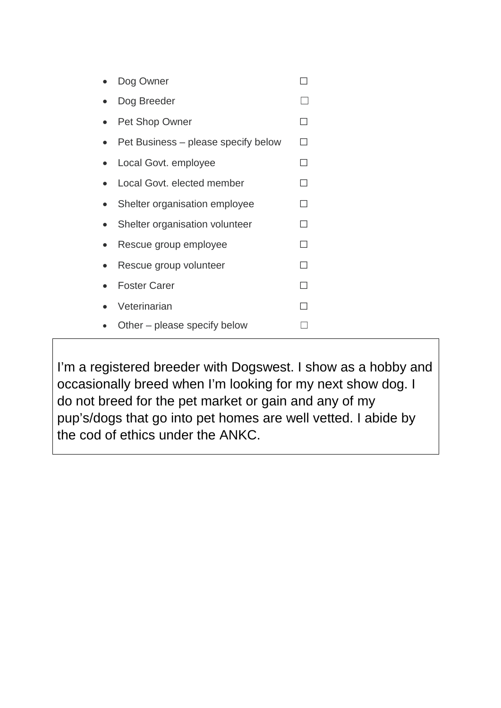| Dog Owner                           |  |
|-------------------------------------|--|
| Dog Breeder                         |  |
| Pet Shop Owner                      |  |
| Pet Business – please specify below |  |
| Local Govt. employee                |  |
| Local Govt, elected member          |  |
| Shelter organisation employee       |  |
| Shelter organisation volunteer      |  |
| Rescue group employee               |  |
| Rescue group volunteer              |  |
| <b>Foster Carer</b>                 |  |
| Veterinarian                        |  |
| Other – please specify below        |  |

I'm a registered breeder with Dogswest. I show as a hobby and occasionally breed when I'm looking for my next show dog. I do not breed for the pet market or gain and any of my pup's/dogs that go into pet homes are well vetted. I abide by the cod of ethics under the ANKC.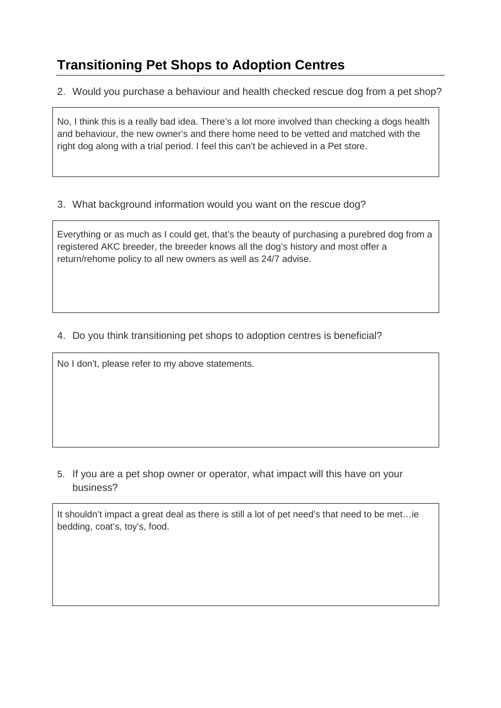# **Transitioning Pet Shops to Adoption Centres**

2. Would you purchase a behaviour and health checked rescue dog from a pet shop?

No, I think this is a really bad idea. There's a lot more involved than checking a dogs health and behaviour, the new owner's and there home need to be vetted and matched with the right dog along with a trial period. I feel this can't be achieved in a Pet store.

#### 3. What background information would you want on the rescue dog?

Everything or as much as I could get, that's the beauty of purchasing a purebred dog from a registered AKC breeder, the breeder knows all the dog's history and most offer a return/rehome policy to all new owners as well as 24/7 advise.

#### 4. Do you think transitioning pet shops to adoption centres is beneficial?

No I don't, please refer to my above statements.

5. If you are a pet shop owner or operator, what impact will this have on your business?

It shouldn't impact a great deal as there is still a lot of pet need's that need to be met…ie bedding, coat's, toy's, food.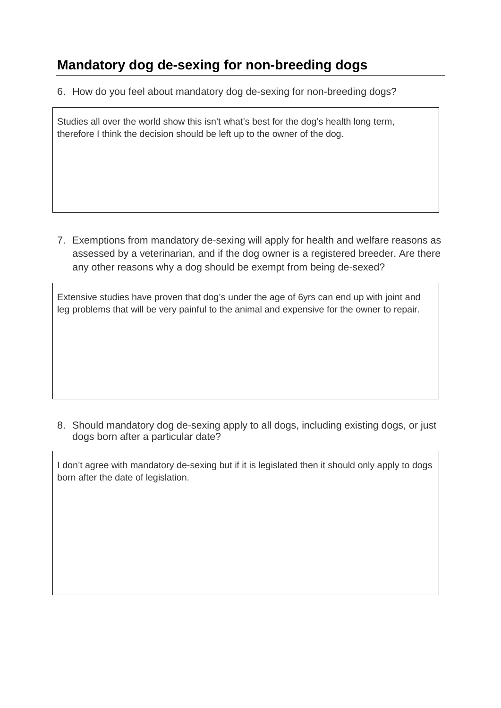## **Mandatory dog de-sexing for non-breeding dogs**

6. How do you feel about mandatory dog de-sexing for non-breeding dogs?

Studies all over the world show this isn't what's best for the dog's health long term, therefore I think the decision should be left up to the owner of the dog.

7. Exemptions from mandatory de-sexing will apply for health and welfare reasons as assessed by a veterinarian, and if the dog owner is a registered breeder. Are there any other reasons why a dog should be exempt from being de-sexed?

Extensive studies have proven that dog's under the age of 6yrs can end up with joint and leg problems that will be very painful to the animal and expensive for the owner to repair.

8. Should mandatory dog de-sexing apply to all dogs, including existing dogs, or just dogs born after a particular date?

I don't agree with mandatory de-sexing but if it is legislated then it should only apply to dogs born after the date of legislation.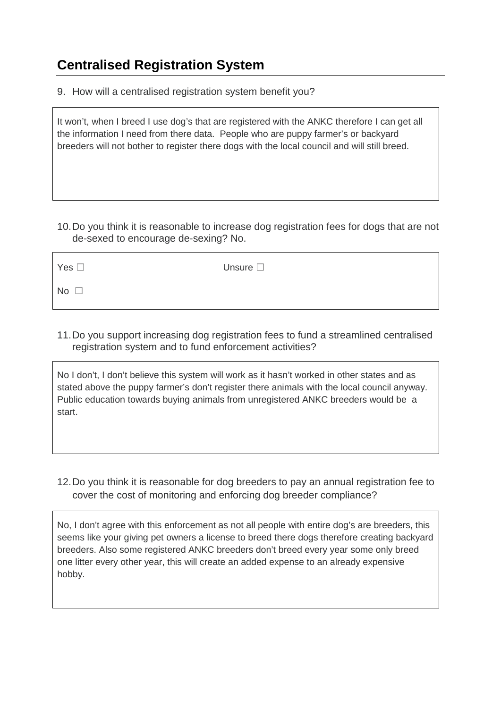### **Centralised Registration System**

9. How will a centralised registration system benefit you?

It won't, when I breed I use dog's that are registered with the ANKC therefore I can get all the information I need from there data. People who are puppy farmer's or backyard breeders will not bother to register there dogs with the local council and will still breed.

10.Do you think it is reasonable to increase dog registration fees for dogs that are not de-sexed to encourage de-sexing? No.

| Yes $\square$ | Unsure $\square$ |
|---------------|------------------|
| No $\square$  |                  |

11.Do you support increasing dog registration fees to fund a streamlined centralised registration system and to fund enforcement activities?

No I don't, I don't believe this system will work as it hasn't worked in other states and as stated above the puppy farmer's don't register there animals with the local council anyway. Public education towards buying animals from unregistered ANKC breeders would be a start.

12.Do you think it is reasonable for dog breeders to pay an annual registration fee to cover the cost of monitoring and enforcing dog breeder compliance?

No, I don't agree with this enforcement as not all people with entire dog's are breeders, this seems like your giving pet owners a license to breed there dogs therefore creating backyard breeders. Also some registered ANKC breeders don't breed every year some only breed one litter every other year, this will create an added expense to an already expensive hobby.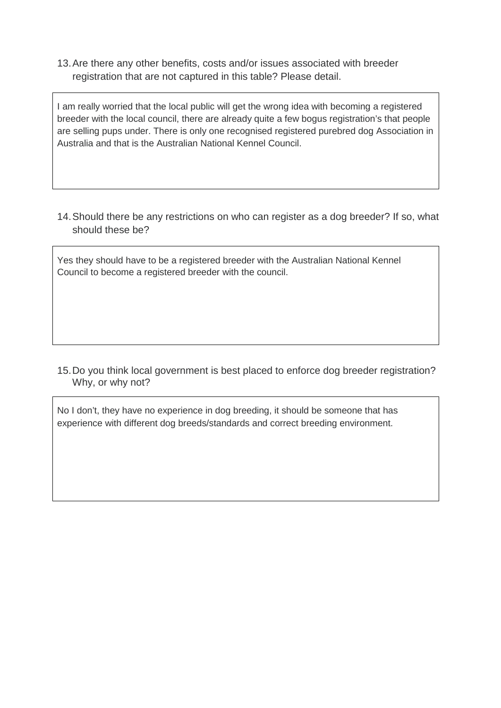13.Are there any other benefits, costs and/or issues associated with breeder registration that are not captured in this table? Please detail.

I am really worried that the local public will get the wrong idea with becoming a registered breeder with the local council, there are already quite a few bogus registration's that people are selling pups under. There is only one recognised registered purebred dog Association in Australia and that is the Australian National Kennel Council.

14.Should there be any restrictions on who can register as a dog breeder? If so, what should these be?

Yes they should have to be a registered breeder with the Australian National Kennel Council to become a registered breeder with the council.

15.Do you think local government is best placed to enforce dog breeder registration? Why, or why not?

No I don't, they have no experience in dog breeding, it should be someone that has experience with different dog breeds/standards and correct breeding environment.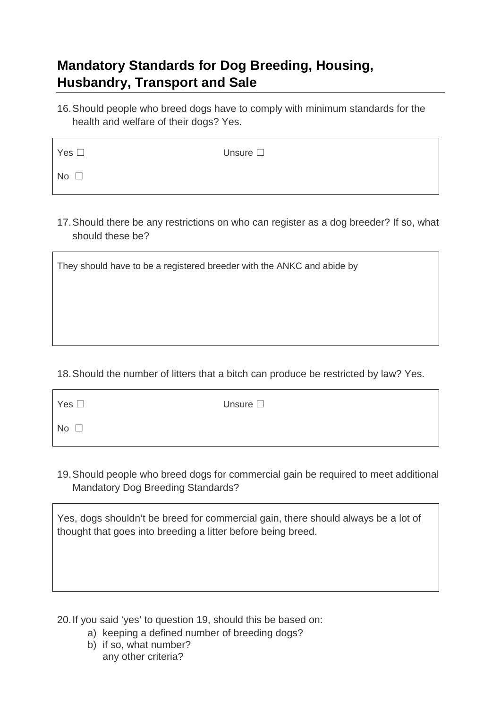### **Mandatory Standards for Dog Breeding, Housing, Husbandry, Transport and Sale**

16.Should people who breed dogs have to comply with minimum standards for the health and welfare of their dogs? Yes.

| Yes $\square$ | Unsure $\square$ |
|---------------|------------------|
| No $\square$  |                  |

17.Should there be any restrictions on who can register as a dog breeder? If so, what should these be?

They should have to be a registered breeder with the ANKC and abide by

#### 18.Should the number of litters that a bitch can produce be restricted by law? Yes.

| Yes $\Box$   | Unsure $\square$ |
|--------------|------------------|
| No $\square$ |                  |

19.Should people who breed dogs for commercial gain be required to meet additional Mandatory Dog Breeding Standards?

Yes, dogs shouldn't be breed for commercial gain, there should always be a lot of thought that goes into breeding a litter before being breed.

20.If you said 'yes' to question 19, should this be based on:

- a) keeping a defined number of breeding dogs?
- b) if so, what number? any other criteria?